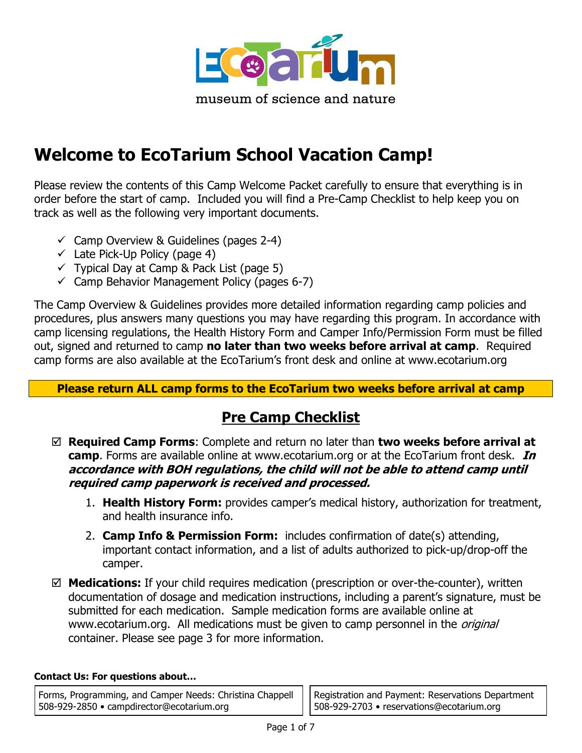

# **Welcome to EcoTarium School Vacation Camp!**

Please review the contents of this Camp Welcome Packet carefully to ensure that everything is in order before the start of camp. Included you will find a Pre-Camp Checklist to help keep you on track as well as the following very important documents.

- $\checkmark$  Camp Overview & Guidelines (pages 2-4)
- $\checkmark$  Late Pick-Up Policy (page 4)
- $\checkmark$  Typical Day at Camp & Pack List (page 5)
- $\checkmark$  Camp Behavior Management Policy (pages 6-7)

The Camp Overview & Guidelines provides more detailed information regarding camp policies and procedures, plus answers many questions you may have regarding this program. In accordance with camp licensing regulations, the Health History Form and Camper Info/Permission Form must be filled out, signed and returned to camp **no later than two weeks before arrival at camp**. Required camp forms are also available at the EcoTarium's front desk and online at www.ecotarium.org

### **Please return ALL camp forms to the EcoTarium two weeks before arrival at camp**

## **Pre Camp Checklist**

- **Required Camp Forms**: Complete and return no later than **two weeks before arrival at camp**. Forms are available online at www.ecotarium.org or at the EcoTarium front desk. **In accordance with BOH regulations, the child will not be able to attend camp until required camp paperwork is received and processed.** 
	- 1. **Health History Form:** provides camper's medical history, authorization for treatment, and health insurance info.
	- 2. **Camp Info & Permission Form:** includes confirmation of date(s) attending, important contact information, and a list of adults authorized to pick-up/drop-off the camper.
- **Medications:** If your child requires medication (prescription or over-the-counter), written documentation of dosage and medication instructions, including a parent's signature, must be submitted for each medication. Sample medication forms are available online at www.ecotarium.org. All medications must be given to camp personnel in the *original* container. Please see page 3 for more information.

#### **Contact Us: For questions about…**

Forms, Programming, and Camper Needs: Christina Chappell 508-929-2850 • campdirector@ecotarium.org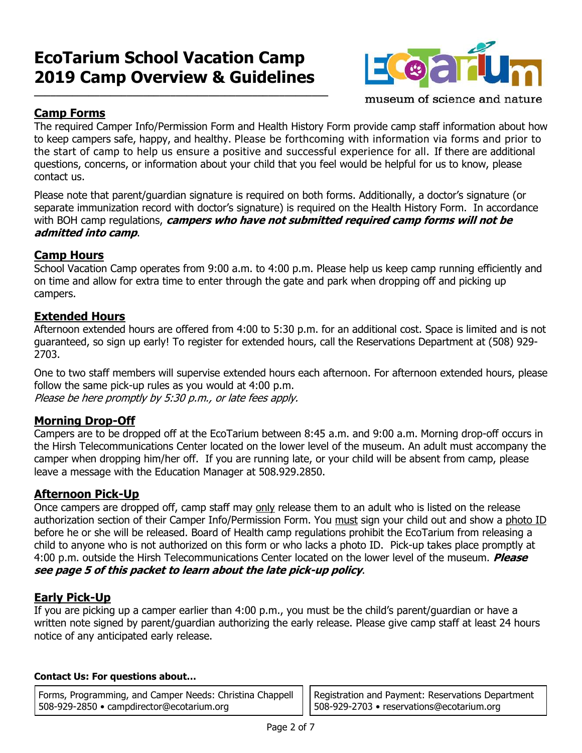## **EcoTarium School Vacation Camp 2019 Camp Overview & Guidelines**

**\_\_\_\_\_\_\_\_\_\_\_\_\_\_\_\_\_\_\_\_\_\_\_\_\_\_\_\_\_\_\_\_\_\_\_\_\_\_\_\_\_\_\_\_\_\_\_\_\_\_\_\_\_\_**



museum of science and nature

### **Camp Forms**

The required Camper Info/Permission Form and Health History Form provide camp staff information about how to keep campers safe, happy, and healthy. Please be forthcoming with information via forms and prior to the start of camp to help us ensure a positive and successful experience for all. If there are additional questions, concerns, or information about your child that you feel would be helpful for us to know, please contact us.

Please note that parent/guardian signature is required on both forms. Additionally, a doctor's signature (or separate immunization record with doctor's signature) is required on the Health History Form. In accordance with BOH camp regulations, **campers who have not submitted required camp forms will not be admitted into camp**.

### **Camp Hours**

School Vacation Camp operates from 9:00 a.m. to 4:00 p.m. Please help us keep camp running efficiently and on time and allow for extra time to enter through the gate and park when dropping off and picking up campers.

### **Extended Hours**

Afternoon extended hours are offered from 4:00 to 5:30 p.m. for an additional cost. Space is limited and is not guaranteed, so sign up early! To register for extended hours, call the Reservations Department at (508) 929- 2703.

One to two staff members will supervise extended hours each afternoon. For afternoon extended hours, please follow the same pick-up rules as you would at 4:00 p.m. Please be here promptly by 5:30 p.m., or late fees apply.

#### **Morning Drop-Off**

Campers are to be dropped off at the EcoTarium between 8:45 a.m. and 9:00 a.m. Morning drop-off occurs in the Hirsh Telecommunications Center located on the lower level of the museum. An adult must accompany the camper when dropping him/her off. If you are running late, or your child will be absent from camp, please leave a message with the Education Manager at 508.929.2850.

#### **Afternoon Pick-Up**

Once campers are dropped off, camp staff may only release them to an adult who is listed on the release authorization section of their Camper Info/Permission Form. You must sign your child out and show a photo ID before he or she will be released. Board of Health camp regulations prohibit the EcoTarium from releasing a child to anyone who is not authorized on this form or who lacks a photo ID. Pick-up takes place promptly at 4:00 p.m. outside the Hirsh Telecommunications Center located on the lower level of the museum. **Please see page 5 of this packet to learn about the late pick-up policy**.

### **Early Pick-Up**

If you are picking up a camper earlier than 4:00 p.m., you must be the child's parent/guardian or have a written note signed by parent/guardian authorizing the early release. Please give camp staff at least 24 hours notice of any anticipated early release.

#### **Contact Us: For questions about…**

Forms, Programming, and Camper Needs: Christina Chappell 508-929-2850 • campdirector@ecotarium.org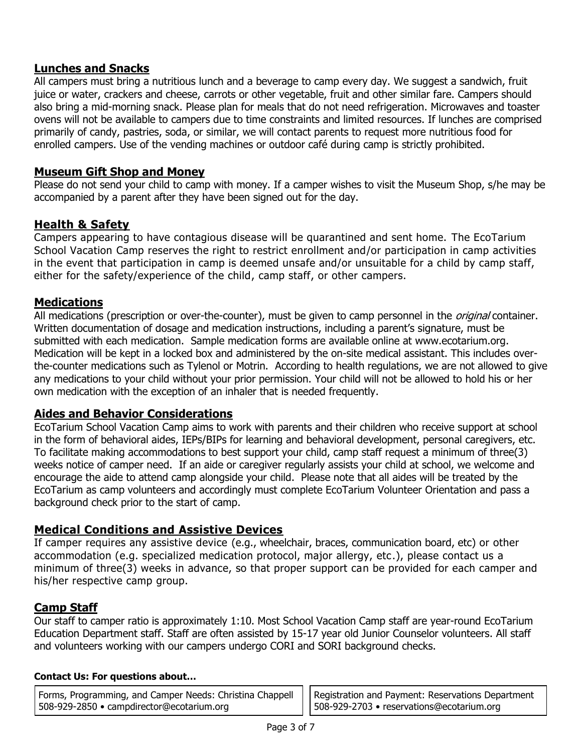#### **Lunches and Snacks**

All campers must bring a nutritious lunch and a beverage to camp every day. We suggest a sandwich, fruit juice or water, crackers and cheese, carrots or other vegetable, fruit and other similar fare. Campers should also bring a mid-morning snack. Please plan for meals that do not need refrigeration. Microwaves and toaster ovens will not be available to campers due to time constraints and limited resources. If lunches are comprised primarily of candy, pastries, soda, or similar, we will contact parents to request more nutritious food for enrolled campers. Use of the vending machines or outdoor café during camp is strictly prohibited.

#### **Museum Gift Shop and Money**

Please do not send your child to camp with money. If a camper wishes to visit the Museum Shop, s/he may be accompanied by a parent after they have been signed out for the day.

#### **Health & Safety**

Campers appearing to have contagious disease will be quarantined and sent home. The EcoTarium School Vacation Camp reserves the right to restrict enrollment and/or participation in camp activities in the event that participation in camp is deemed unsafe and/or unsuitable for a child by camp staff, either for the safety/experience of the child, camp staff, or other campers.

#### **Medications**

All medications (prescription or over-the-counter), must be given to camp personnel in the *original* container. Written documentation of dosage and medication instructions, including a parent's signature, must be submitted with each medication. Sample medication forms are available online at www.ecotarium.org. Medication will be kept in a locked box and administered by the on-site medical assistant. This includes overthe-counter medications such as Tylenol or Motrin. According to health regulations, we are not allowed to give any medications to your child without your prior permission. Your child will not be allowed to hold his or her own medication with the exception of an inhaler that is needed frequently.

#### **Aides and Behavior Considerations**

EcoTarium School Vacation Camp aims to work with parents and their children who receive support at school in the form of behavioral aides, IEPs/BIPs for learning and behavioral development, personal caregivers, etc. To facilitate making accommodations to best support your child, camp staff request a minimum of three(3) weeks notice of camper need. If an aide or caregiver regularly assists your child at school, we welcome and encourage the aide to attend camp alongside your child. Please note that all aides will be treated by the EcoTarium as camp volunteers and accordingly must complete EcoTarium Volunteer Orientation and pass a background check prior to the start of camp.

#### **Medical Conditions and Assistive Devices**

If camper requires any assistive device (e.g., wheelchair, braces, communication board, etc) or other accommodation (e.g. specialized medication protocol, major allergy, etc.), please contact us a minimum of three(3) weeks in advance, so that proper support can be provided for each camper and his/her respective camp group.

### **Camp Staff**

Our staff to camper ratio is approximately 1:10. Most School Vacation Camp staff are year-round EcoTarium Education Department staff. Staff are often assisted by 15-17 year old Junior Counselor volunteers. All staff and volunteers working with our campers undergo CORI and SORI background checks.

#### **Contact Us: For questions about…**

Forms, Programming, and Camper Needs: Christina Chappell 508-929-2850 • campdirector@ecotarium.org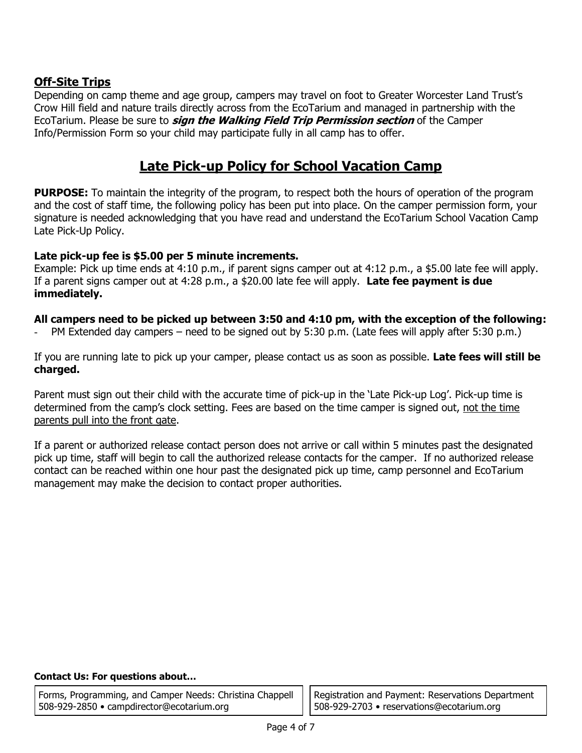### **Off-Site Trips**

Depending on camp theme and age group, campers may travel on foot to Greater Worcester Land Trust's Crow Hill field and nature trails directly across from the EcoTarium and managed in partnership with the EcoTarium. Please be sure to **sign the Walking Field Trip Permission section** of the Camper Info/Permission Form so your child may participate fully in all camp has to offer.

## **Late Pick-up Policy for School Vacation Camp**

**PURPOSE:** To maintain the integrity of the program, to respect both the hours of operation of the program and the cost of staff time, the following policy has been put into place. On the camper permission form, your signature is needed acknowledging that you have read and understand the EcoTarium School Vacation Camp Late Pick-Up Policy.

#### **Late pick-up fee is \$5.00 per 5 minute increments.**

Example: Pick up time ends at 4:10 p.m., if parent signs camper out at 4:12 p.m., a \$5.00 late fee will apply. If a parent signs camper out at 4:28 p.m., a \$20.00 late fee will apply. **Late fee payment is due immediately.** 

#### **All campers need to be picked up between 3:50 and 4:10 pm, with the exception of the following:**

PM Extended day campers – need to be signed out by 5:30 p.m. (Late fees will apply after 5:30 p.m.)

If you are running late to pick up your camper, please contact us as soon as possible. **Late fees will still be charged.**

Parent must sign out their child with the accurate time of pick-up in the 'Late Pick-up Log'. Pick-up time is determined from the camp's clock setting. Fees are based on the time camper is signed out, not the time parents pull into the front gate.

If a parent or authorized release contact person does not arrive or call within 5 minutes past the designated pick up time, staff will begin to call the authorized release contacts for the camper. If no authorized release contact can be reached within one hour past the designated pick up time, camp personnel and EcoTarium management may make the decision to contact proper authorities.

#### **Contact Us: For questions about…**

Forms, Programming, and Camper Needs: Christina Chappell 508-929-2850 • campdirector@ecotarium.org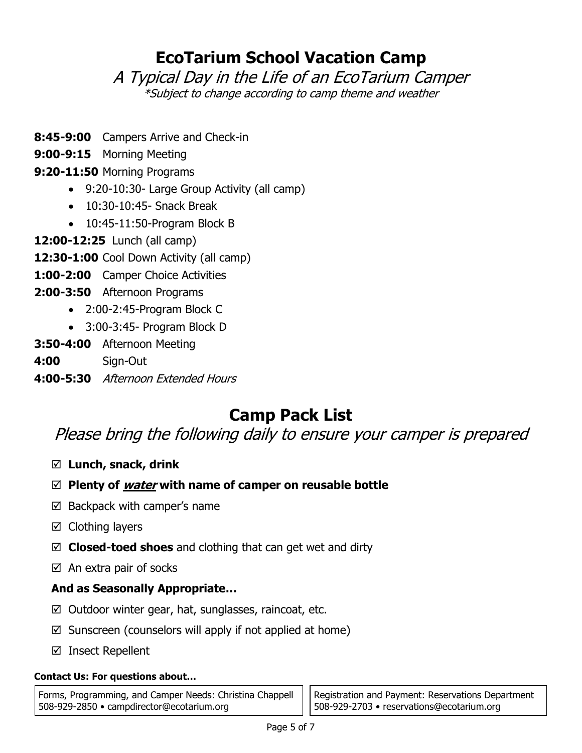## **EcoTarium School Vacation Camp**

A Typical Day in the Life of an EcoTarium Camper \*Subject to change according to camp theme and weather

- **8:45-9:00** Campers Arrive and Check-in
- **9:00-9:15** Morning Meeting

## **9:20-11:50** Morning Programs

- 9:20-10:30- Large Group Activity (all camp)
- 10:30-10:45- Snack Break
- 10:45-11:50-Program Block B
- **12:00-12:25** Lunch (all camp)
- **12:30-1:00** Cool Down Activity (all camp)
- **1:00-2:00** Camper Choice Activities
- **2:00-3:50** Afternoon Programs
	- 2:00-2:45-Program Block C
	- 3:00-3:45- Program Block D
- **3:50-4:00** Afternoon Meeting
- **4:00** Sign-Out
- **4:00-5:30** Afternoon Extended Hours

## **Camp Pack List**

Please bring the following daily to ensure your camper is prepared

- **Lunch, snack, drink**
- **Plenty of water with name of camper on reusable bottle**
- $\boxtimes$  Backpack with camper's name
- $\boxtimes$  Clothing layers
- **Closed-toed shoes** and clothing that can get wet and dirty
- $\boxtimes$  An extra pair of socks

## **And as Seasonally Appropriate…**

- $\boxtimes$  Outdoor winter gear, hat, sunglasses, raincoat, etc.
- $\boxtimes$  Sunscreen (counselors will apply if not applied at home)
- $\boxtimes$  Insect Repellent

#### **Contact Us: For questions about…**

Forms, Programming, and Camper Needs: Christina Chappell 508-929-2850 • campdirector@ecotarium.org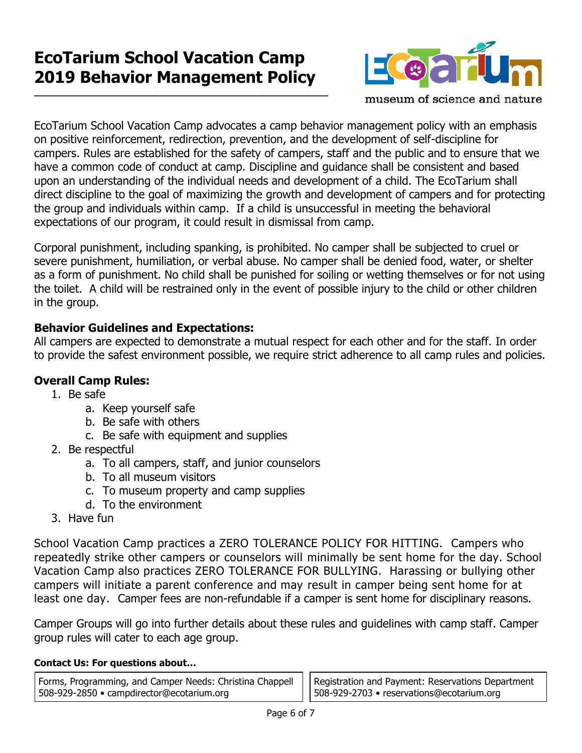## **EcoTarium School Vacation Camp 2019 Behavior Management Policy**

**\_\_\_\_\_\_\_\_\_\_\_\_\_\_\_\_\_\_\_\_\_\_\_\_\_\_\_\_\_\_\_\_\_\_\_\_\_\_\_\_\_\_\_\_\_\_\_\_\_\_\_\_\_\_**



museum of science and nature

EcoTarium School Vacation Camp advocates a camp behavior management policy with an emphasis on positive reinforcement, redirection, prevention, and the development of self-discipline for campers. Rules are established for the safety of campers, staff and the public and to ensure that we have a common code of conduct at camp. Discipline and guidance shall be consistent and based upon an understanding of the individual needs and development of a child. The EcoTarium shall direct discipline to the goal of maximizing the growth and development of campers and for protecting the group and individuals within camp. If a child is unsuccessful in meeting the behavioral expectations of our program, it could result in dismissal from camp.

Corporal punishment, including spanking, is prohibited. No camper shall be subjected to cruel or severe punishment, humiliation, or verbal abuse. No camper shall be denied food, water, or shelter as a form of punishment. No child shall be punished for soiling or wetting themselves or for not using the toilet. A child will be restrained only in the event of possible injury to the child or other children in the group.

### **Behavior Guidelines and Expectations:**

All campers are expected to demonstrate a mutual respect for each other and for the staff. In order to provide the safest environment possible, we require strict adherence to all camp rules and policies.

### **Overall Camp Rules:**

- 1. Be safe
	- a. Keep yourself safe
	- b. Be safe with others
	- c. Be safe with equipment and supplies
- 2. Be respectful
	- a. To all campers, staff, and junior counselors
	- b. To all museum visitors
	- c. To museum property and camp supplies
	- d. To the environment
- 3. Have fun

School Vacation Camp practices a ZERO TOLERANCE POLICY FOR HITTING. Campers who repeatedly strike other campers or counselors will minimally be sent home for the day. School Vacation Camp also practices ZERO TOLERANCE FOR BULLYING. Harassing or bullying other campers will initiate a parent conference and may result in camper being sent home for at least one day. Camper fees are non-refundable if a camper is sent home for disciplinary reasons.

Camper Groups will go into further details about these rules and guidelines with camp staff. Camper group rules will cater to each age group.

#### **Contact Us: For questions about…**

Forms, Programming, and Camper Needs: Christina Chappell 508-929-2850 • campdirector@ecotarium.org